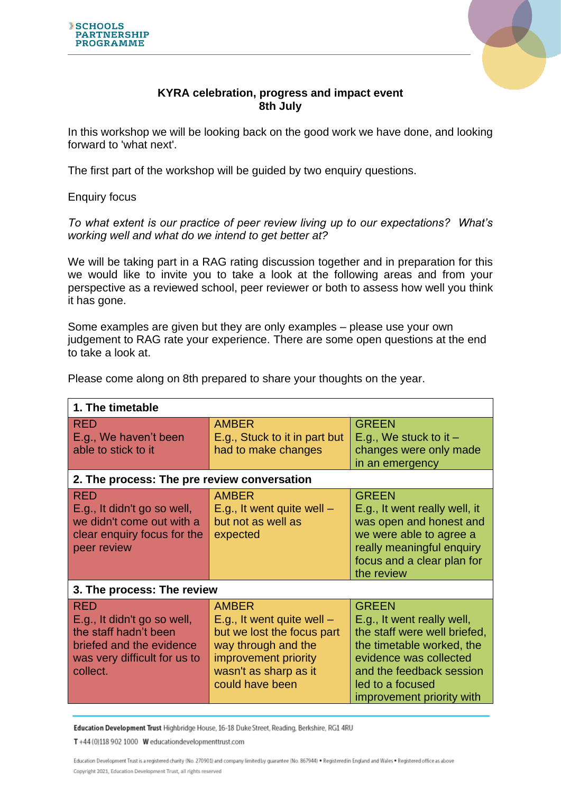



## **KYRA celebration, progress and impact event 8th July**

In this workshop we will be looking back on the good work we have done, and looking forward to 'what next'.

The first part of the workshop will be guided by two enquiry questions.

Enquiry focus

*To what extent is our practice of peer review living up to our expectations? What's working well and what do we intend to get better at?*

We will be taking part in a RAG rating discussion together and in preparation for this we would like to invite you to take a look at the following areas and from your perspective as a reviewed school, peer reviewer or both to assess how well you think it has gone.

Some examples are given but they are only examples – please use your own judgement to RAG rate your experience. There are some open questions at the end to take a look at.

| 1. The timetable                                                                                                                           |                                                                                                                                                                       |                                                                                                                                                                                                                |  |
|--------------------------------------------------------------------------------------------------------------------------------------------|-----------------------------------------------------------------------------------------------------------------------------------------------------------------------|----------------------------------------------------------------------------------------------------------------------------------------------------------------------------------------------------------------|--|
| <b>RED</b><br>E.g., We haven't been<br>able to stick to it                                                                                 | <b>AMBER</b><br>E.g., Stuck to it in part but<br>had to make changes                                                                                                  | <b>GREEN</b><br>E.g., We stuck to it $-$<br>changes were only made<br>in an emergency                                                                                                                          |  |
| 2. The process: The pre review conversation                                                                                                |                                                                                                                                                                       |                                                                                                                                                                                                                |  |
| RED<br>E.g., It didn't go so well,<br>we didn't come out with a<br>clear enquiry focus for the<br>peer review                              | <b>AMBER</b><br>E.g., It went quite well $-$<br>but not as well as<br>expected                                                                                        | <b>GREEN</b><br>E.g., It went really well, it<br>was open and honest and<br>we were able to agree a<br>really meaningful enquiry<br>focus and a clear plan for<br>the review                                   |  |
| 3. The process: The review                                                                                                                 |                                                                                                                                                                       |                                                                                                                                                                                                                |  |
| <b>RED</b><br>E.g., It didn't go so well,<br>the staff hadn't been<br>briefed and the evidence<br>was very difficult for us to<br>collect. | <b>AMBER</b><br>E.g., It went quite well $-$<br>but we lost the focus part<br>way through and the<br>improvement priority<br>wasn't as sharp as it<br>could have been | <b>GREEN</b><br>E.g., It went really well,<br>the staff were well briefed,<br>the timetable worked, the<br>evidence was collected<br>and the feedback session<br>led to a focused<br>improvement priority with |  |
|                                                                                                                                            |                                                                                                                                                                       |                                                                                                                                                                                                                |  |

Please come along on 8th prepared to share your thoughts on the year.

Education Development Trust Highbridge House, 16-18 Duke Street, Reading, Berkshire, RG1 4RU

T +44 (0)118 902 1000 W educationdevelopmenttrust.com